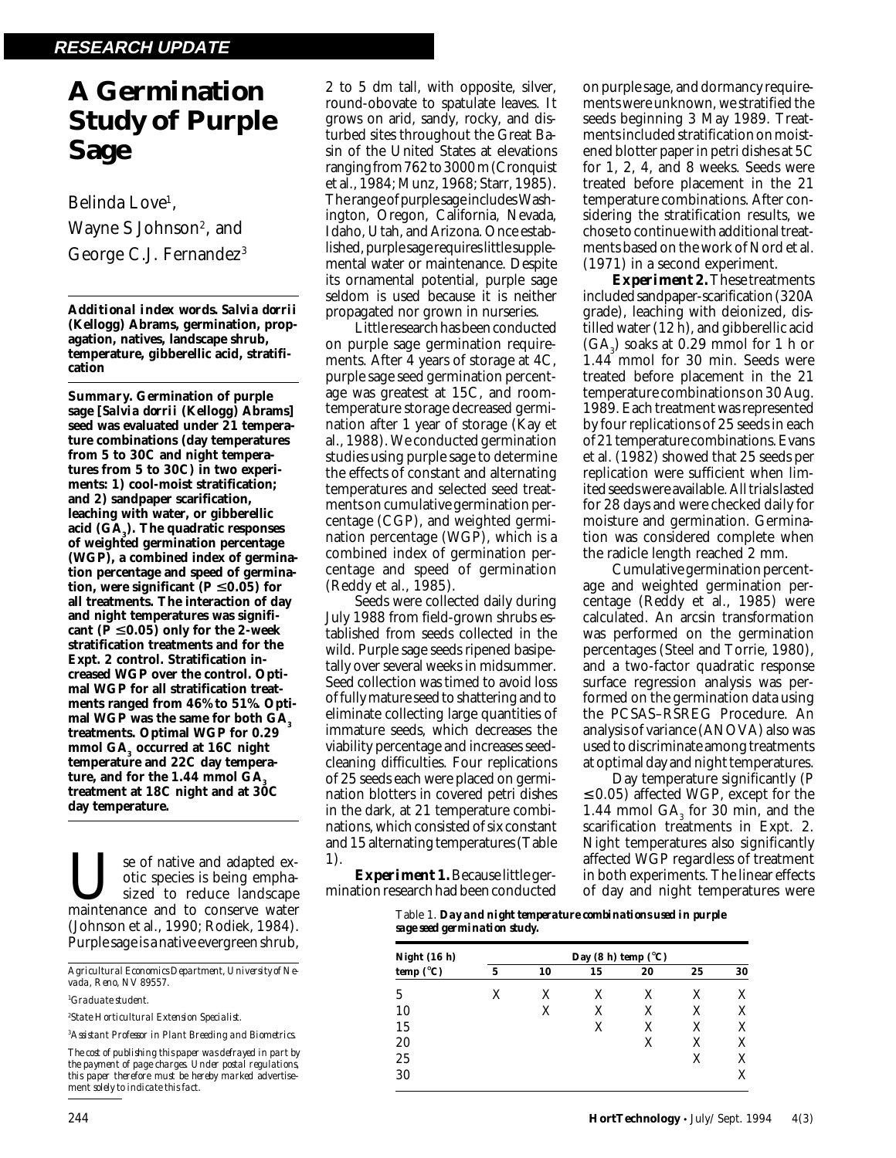# **A Germination Study of Purple Sage**

Belinda Love<sup>1</sup>, Wayne S Johnson<sup>2</sup>, and George C.J. Fernandez<sup>3</sup>

*Additional index words. Salvia dorrii* **(Kellogg) Abrams, germination, propagation, natives, landscape shrub, temperature, gibberellic acid, stratification**

*Summary.* **Germination of purple sage [***Salvia dorrii* **(Kellogg) Abrams] seed was evaluated under 21 temperature combinations (day temperatures from 5 to 30C and night temperatures from 5 to 30C) in two experiments: 1) cool-moist stratification; and 2) sandpaper scarification, leaching with water, or gibberellic acid (GA3 ). The quadratic responses of weighted germination percentage (WGP), a combined index of germination percentage and speed of germination, were significant**  $(P \le 0.05)$  **for all treatments. The interaction of day and night temperatures was signifi**cant  $(P \le 0.05)$  only for the 2-week **stratification treatments and for the Expt. 2 control. Stratification increased WGP over the control. Optimal WGP for all stratification treatments ranged from 46% to 51%. Opti**mal WGP was the same for both GA<sub>2</sub> **treatments. Optimal WGP for 0.29** mmol GA<sub>3</sub> occurred at 16C night **temperature and 22C day tempera**ture, and for the 1.44 mmol GA<sub>3</sub> **treatment at 18C night and at 30C day temperature.**

Use of native and adapted ex-<br>sized to reduce landscape<br>maintenance and to conserve water otic species is being emphasized to reduce landscape (Johnson et al., 1990; Rodiek, 1984). Purple sage is a native evergreen shrub,

*Agricultural Economics Department, University of Nevada, Reno, NV 89557.*

*1 Graduate student.*

*2 State Horticultural Extension Specialist.*

*3 Assistant Professor in Plant Breeding and Biometrics.*

*The cost of publishing this paper was defrayed in part by the payment of page charges. Under postal regulations, this paper therefore must be hereby marked* advertisement *solely to indicate this fact.*

2 to 5 dm tall, with opposite, silver, round-obovate to spatulate leaves. It grows on arid, sandy, rocky, and disturbed sites throughout the Great Basin of the United States at elevations ranging from 762 to 3000 m (Cronquist et al., 1984; Munz, 1968; Starr, 1985). The range of purple sage includes Washington, Oregon, California, Nevada, Idaho, Utah, and Arizona. Once established, purple sage requires little supplemental water or maintenance. Despite its ornamental potential, purple sage seldom is used because it is neither propagated nor grown in nurseries.

Little research has been conducted on purple sage germination requirements. After 4 years of storage at 4C, purple sage seed germination percentage was greatest at 15C, and roomtemperature storage decreased germination after 1 year of storage (Kay et al., 1988). We conducted germination studies using purple sage to determine the effects of constant and alternating temperatures and selected seed treatments on cumulative germination percentage (CGP), and weighted germination percentage (WGP), which is a combined index of germination percentage and speed of germination (Reddy et al., 1985).

Seeds were collected daily during July 1988 from field-grown shrubs established from seeds collected in the wild. Purple sage seeds ripened basipetally over several weeks in midsummer. Seed collection was timed to avoid loss of fully mature seed to shattering and to eliminate collecting large quantities of immature seeds, which decreases the viability percentage and increases seedcleaning difficulties. Four replications of 25 seeds each were placed on germination blotters in covered petri dishes in the dark, at 21 temperature combinations, which consisted of six constant and 15 alternating temperatures (Table 1).

*Experiment 1.* Because little germination research had been conducted on purple sage, and dormancy requirements were unknown, we stratified the seeds beginning 3 May 1989. Treatments included stratification on moistened blotter paper in petri dishes at 5C for 1, 2, 4, and 8 weeks. Seeds were treated before placement in the 21 temperature combinations. After considering the stratification results, we chose to continue with additional treatments based on the work of Nord et al. (1971) in a second experiment.

*Experiment 2.* These treatments included sandpaper-scarification (320A grade), leaching with deionized, distilled water (12 h), and gibberellic acid  $(GA<sub>3</sub>)$  soaks at 0.29 mmol for 1 h or 1.44 mmol for 30 min. Seeds were treated before placement in the 21 temperature combinations on 30 Aug. 1989. Each treatment was represented by four replications of 25 seeds in each of 21 temperature combinations. Evans et al. (1982) showed that 25 seeds per replication were sufficient when limited seeds were available. All trials lasted for 28 days and were checked daily for moisture and germination. Germination was considered complete when the radicle length reached 2 mm.

Cumulative germination percentage and weighted germination percentage (Reddy et al., 1985) were calculated. An arcsin transformation was performed on the germination percentages (Steel and Torrie, 1980), and a two-factor quadratic response surface regression analysis was performed on the germination data using the PCSAS–RSREG Procedure. An analysis of variance (ANOVA) also was used to discriminate among treatments at optimal day and night temperatures.

Day temperature significantly (*P* ≤ 0.05) affected WGP, except for the 1.44 mmol  $GA_3$  for 30 min, and the scarification treatments in Expt. 2. Night temperatures also significantly affected WGP regardless of treatment in both experiments. The linear effects of day and night temperatures were

Table 1. *Day and night temperature combinations used in purple sage seed germination study.*

| Night $(16 h)$<br>temp $(^{\circ}C)$ | Day (8 h) temp $(^{\circ}C)$ |    |    |    |    |    |
|--------------------------------------|------------------------------|----|----|----|----|----|
|                                      | 5                            | 10 | 15 | 20 | 25 | 30 |
| 5                                    | x                            | X  | X  | X  | X  | X  |
| 10                                   |                              | X  | X  | X  | X  | X  |
| 15                                   |                              |    | X  | X  | X  | X  |
| 20                                   |                              |    |    | X  | X  | X  |
| 25                                   |                              |    |    |    | X  | X  |
| 30                                   |                              |    |    |    |    | X  |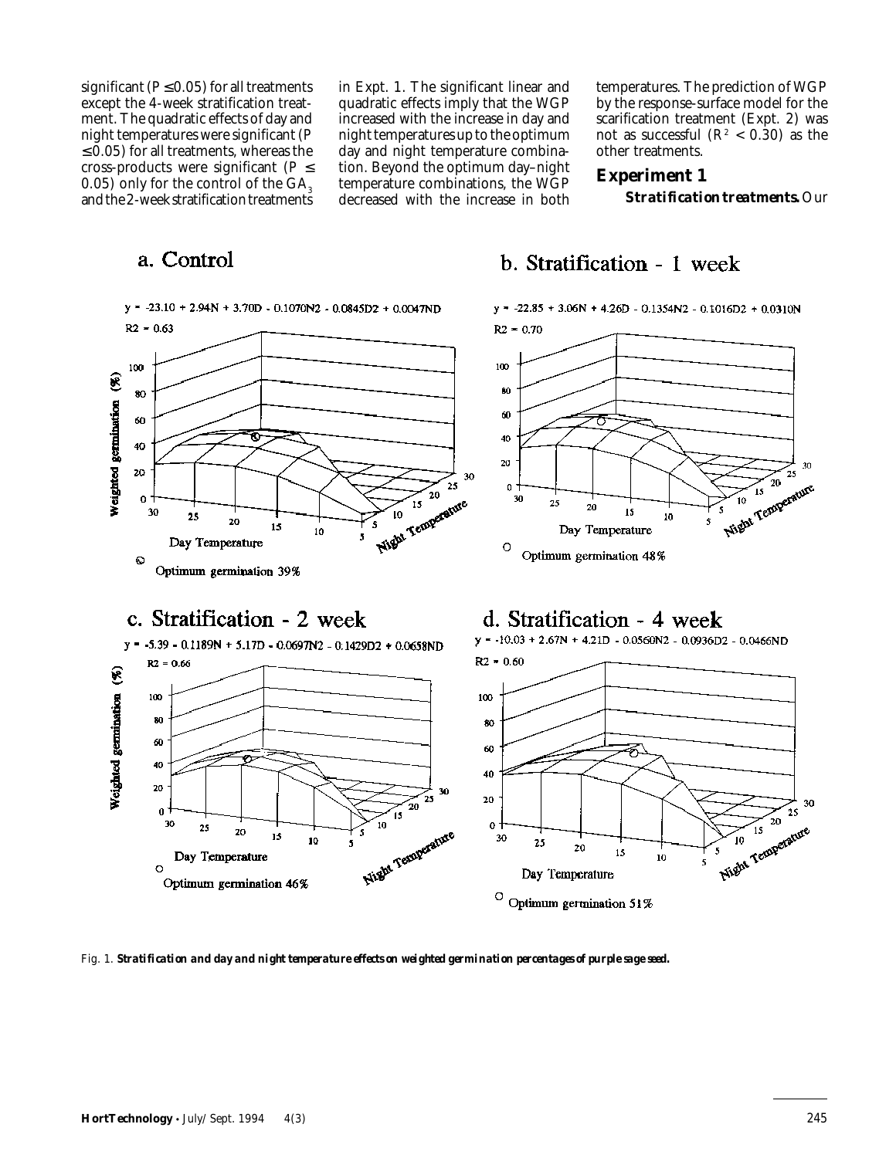significant ( $P \le 0.05$ ) for all treatments except the 4-week stratification treatment. The quadratic effects of day and night temperatures were significant (*P*  $\leq$  0.05) for all treatments, whereas the cross-products were significant ( $P \leq$ 0.05) only for the control of the  $GA<sub>3</sub>$ and the 2-week stratification treatments

in Expt. 1. The significant linear and quadratic effects imply that the WGP increased with the increase in day and night temperatures up to the optimum day and night temperature combination. Beyond the optimum day–night temperature combinations, the WGP decreased with the increase in both

temperatures. The prediction of WGP by the response-surface model for the scarification treatment (Expt. 2) was not as successful  $(R^2 < 0.30)$  as the other treatments.

#### **Experiment 1** *Stratification treatments.* Our

## a. Control



b. Stratification - 1 week

 $y = -22.85 + 3.06N + 4.26D - 0.1354N2 - 0.1016D2 + 0.0310N$ 







Fig. 1. *Stratification and day and night temperature effects on weighted germination percentages of purple sage seed.*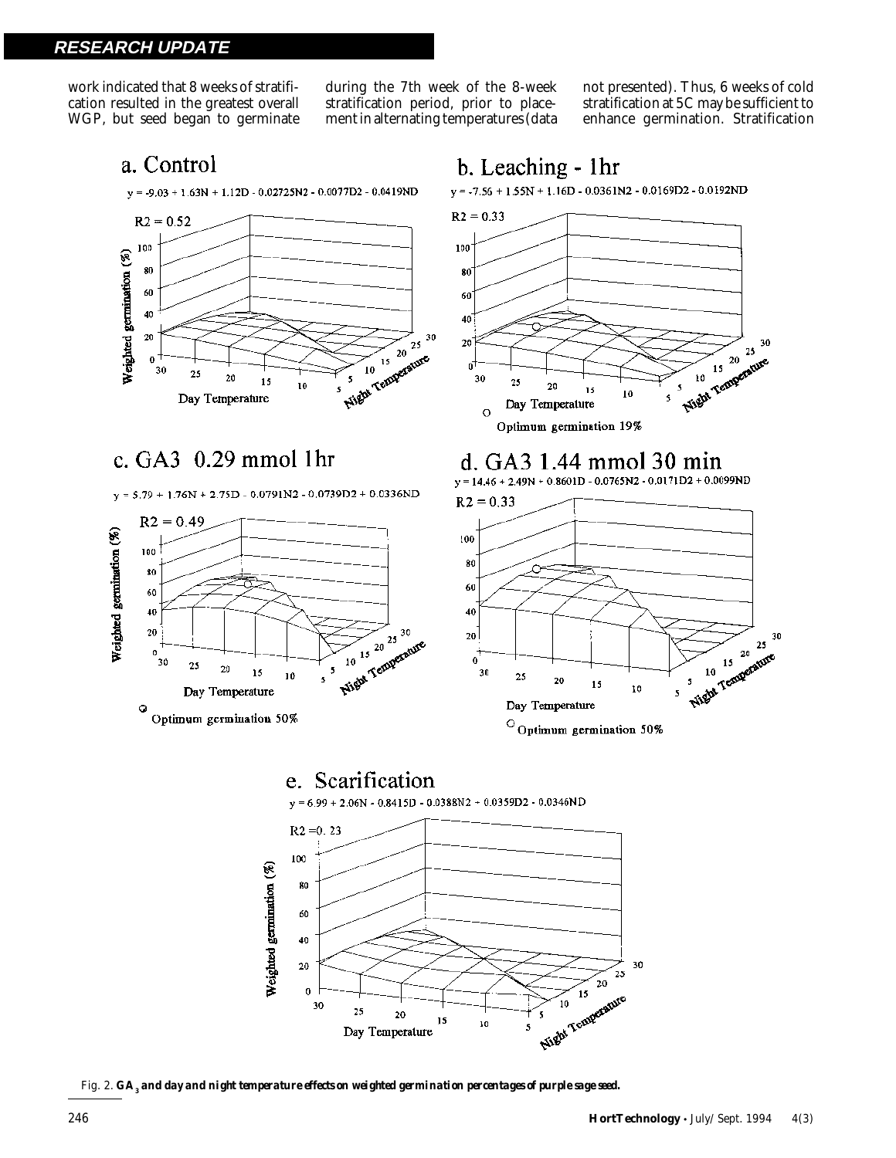**RESEARCH UPDATE**

work indicated that 8 weeks of stratification resulted in the greatest overall WGP, but seed began to germinate during the 7th week of the 8-week stratification period, prior to placement in alternating temperatures (data

b. Leaching - 1hr

not presented). Thus, 6 weeks of cold stratification at 5C may be sufficient to enhance germination. Stratification

### a. Control



### c.  $GA3$  0.29 mmol 1hr

 $y = 5.79 + 1.76N + 2.75D - 0.0791N2 - 0.0739D2 + 0.0336ND$ 





### d. GA3 1.44 mmol 30 min

 $y = 14.46 + 2.49N + 0.8601D - 0.0765N2 - 0.0171D2 + 0.0099ND$ 



30



10

5

Fig. 2.  $GA_{\it 3}$  and day and night temperature effects on weighted germination percentages of purple sage seed.

Day Temperature